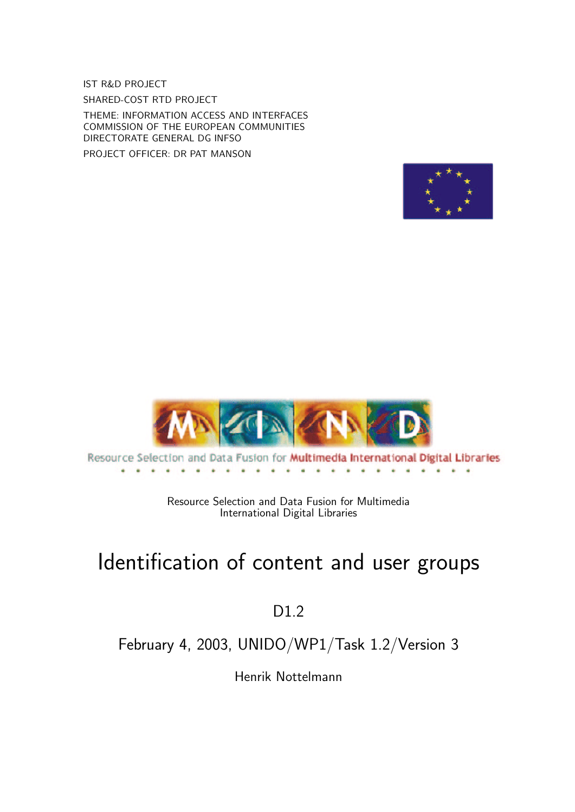IST R&D PROJECT SHARED-COST RTD PROJECT

THEME: INFORMATION ACCESS AND INTERFACES COMMISSION OF THE EUROPEAN COMMUNITIES DIRECTORATE GENERAL DG INFSO

PROJECT OFFICER: DR PAT MANSON





Resource Selection and Data Fusion for Multimedia International Digital Libraries 

> Resource Selection and Data Fusion for Multimedia International Digital Libraries

# Identification of content and user groups

## D1.2

## February 4, 2003, UNIDO/WP1/Task 1.2/Version 3

Henrik Nottelmann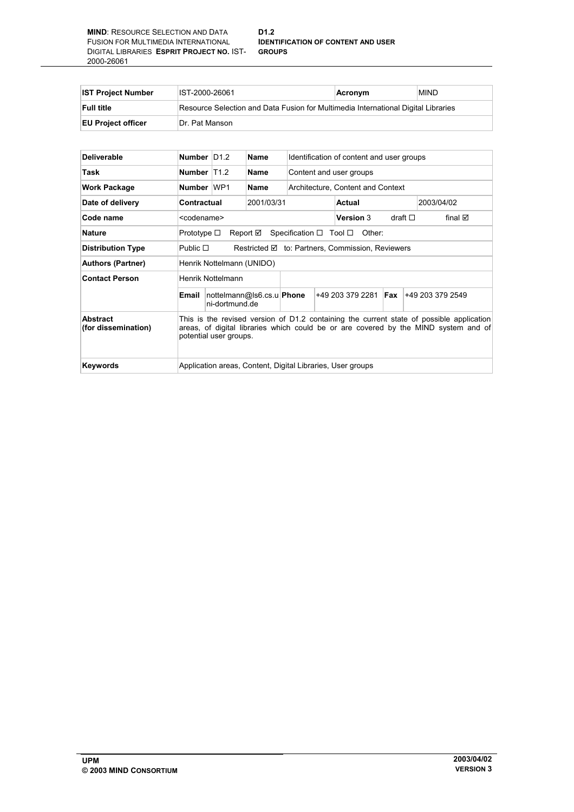#### **D1.2 IDENTIFICATION OF CONTENT AND USER GROUPS**

| <b>IST Project Number</b> | IST-2000-26061                                                                    | Acronym | MIND. |  |  |
|---------------------------|-----------------------------------------------------------------------------------|---------|-------|--|--|
| <b>Full title</b>         | Resource Selection and Data Fusion for Multimedia International Digital Libraries |         |       |  |  |
| <b>EU Project officer</b> | Dr. Pat Manson                                                                    |         |       |  |  |

| <b>Deliverable</b>              | Number $ D1.2 $                                                                                                                                                                                           |                | <b>Name</b>               | Identification of content and user groups |  |                  |                 |  |                                     |  |
|---------------------------------|-----------------------------------------------------------------------------------------------------------------------------------------------------------------------------------------------------------|----------------|---------------------------|-------------------------------------------|--|------------------|-----------------|--|-------------------------------------|--|
| Task                            | Number T12                                                                                                                                                                                                |                | Name                      | Content and user groups                   |  |                  |                 |  |                                     |  |
| <b>Work Package</b>             | Number WP1                                                                                                                                                                                                |                | Name                      | Architecture, Content and Context         |  |                  |                 |  |                                     |  |
| Date of delivery                | Contractual                                                                                                                                                                                               |                | 2001/03/31                |                                           |  | Actual           |                 |  | 2003/04/02                          |  |
| Code name                       | <codename></codename>                                                                                                                                                                                     |                |                           |                                           |  | <b>Version 3</b> | draft $\square$ |  | final ⊠                             |  |
| <b>Nature</b>                   | Specification $\Box$ Tool $\Box$<br>Prototype $\square$<br>Report <b>⊠</b><br>Other:                                                                                                                      |                |                           |                                           |  |                  |                 |  |                                     |  |
| <b>Distribution Type</b>        | Restricted Ø to: Partners, Commission, Reviewers<br>Public $\square$                                                                                                                                      |                |                           |                                           |  |                  |                 |  |                                     |  |
| <b>Authors (Partner)</b>        | Henrik Nottelmann (UNIDO)                                                                                                                                                                                 |                |                           |                                           |  |                  |                 |  |                                     |  |
| <b>Contact Person</b>           | Henrik Nottelmann                                                                                                                                                                                         |                |                           |                                           |  |                  |                 |  |                                     |  |
|                                 | Email                                                                                                                                                                                                     | ni-dortmund.de | nottelmann@ls6.cs.u Phone |                                           |  |                  |                 |  | $+492033792281$ Fax $+492033792549$ |  |
| Abstract<br>(for dissemination) | This is the revised version of D1.2 containing the current state of possible application<br>areas, of digital libraries which could be or are covered by the MIND system and of<br>potential user groups. |                |                           |                                           |  |                  |                 |  |                                     |  |
| <b>Keywords</b>                 | Application areas, Content, Digital Libraries, User groups                                                                                                                                                |                |                           |                                           |  |                  |                 |  |                                     |  |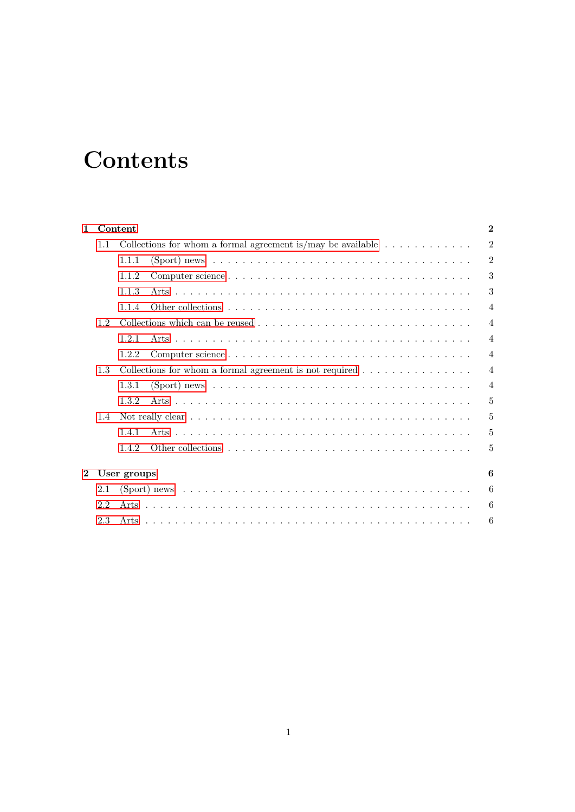# **Contents**

| 1.       |     | Content                                                                                                        | $\mathbf 2$    |
|----------|-----|----------------------------------------------------------------------------------------------------------------|----------------|
|          | 1.1 | Collections for whom a formal agreement is/may be available $\dots \dots \dots \dots$                          | 2              |
|          |     | 1.1.1                                                                                                          | 2              |
|          |     | 1.1.2                                                                                                          | 3              |
|          |     | 1.1.3                                                                                                          | 3              |
|          |     | 1.1.4                                                                                                          | $\overline{4}$ |
|          | 1.2 |                                                                                                                | $\overline{4}$ |
|          |     | 1.2.1                                                                                                          | $\overline{4}$ |
|          |     | 1.2.2                                                                                                          | $\overline{4}$ |
|          | 1.3 | Collections for whom a formal agreement is not required $\dots \dots \dots \dots$                              | $\overline{4}$ |
|          |     | 1.3.1                                                                                                          | $\overline{4}$ |
|          |     | 1.3.2                                                                                                          | 5              |
|          | 1.4 |                                                                                                                | 5              |
|          |     | 1.4.1                                                                                                          | 5              |
|          |     | 1.4.2                                                                                                          | 5              |
| $\bf{2}$ |     | User groups                                                                                                    | 6              |
|          | 2.1 | (Sport) news $\dots \dots \dots \dots \dots \dots \dots \dots \dots \dots \dots \dots \dots \dots \dots \dots$ | 6              |
|          | 2.2 |                                                                                                                | 6              |
|          | 2.3 |                                                                                                                | 6              |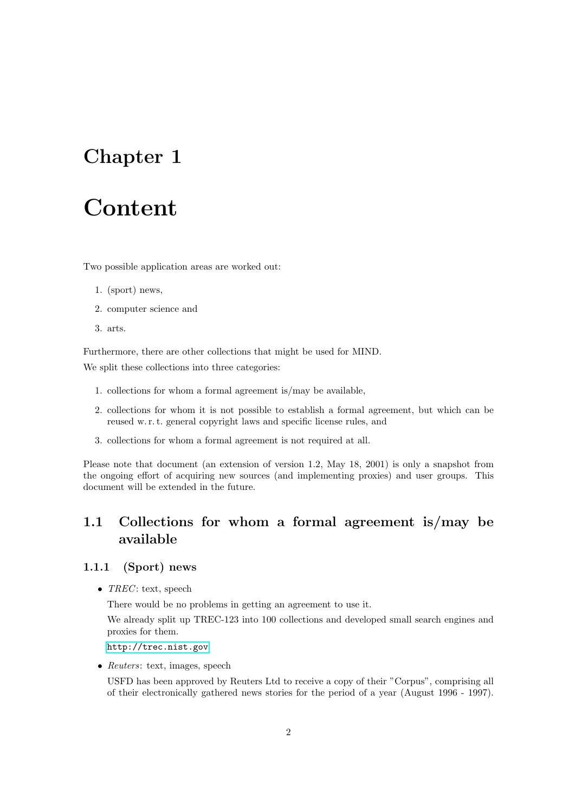## <span id="page-3-0"></span>Chapter 1

# Content

Two possible application areas are worked out:

- 1. (sport) news,
- 2. computer science and
- 3. arts.

Furthermore, there are other collections that might be used for MIND.

We split these collections into three categories:

- 1. collections for whom a formal agreement is/may be available,
- 2. collections for whom it is not possible to establish a formal agreement, but which can be reused w. r. t. general copyright laws and specific license rules, and
- 3. collections for whom a formal agreement is not required at all.

Please note that document (an extension of version 1.2, May 18, 2001) is only a snapshot from the ongoing effort of acquiring new sources (and implementing proxies) and user groups. This document will be extended in the future.

### <span id="page-3-1"></span>1.1 Collections for whom a formal agreement is/may be available

#### <span id="page-3-2"></span>1.1.1 (Sport) news

•  $TREC$ : text, speech

There would be no problems in getting an agreement to use it.

We already split up TREC-123 into 100 collections and developed small search engines and proxies for them.

#### <http://trec.nist.gov>

• Reuters: text, images, speech

USFD has been approved by Reuters Ltd to receive a copy of their "Corpus", comprising all of their electronically gathered news stories for the period of a year (August 1996 - 1997).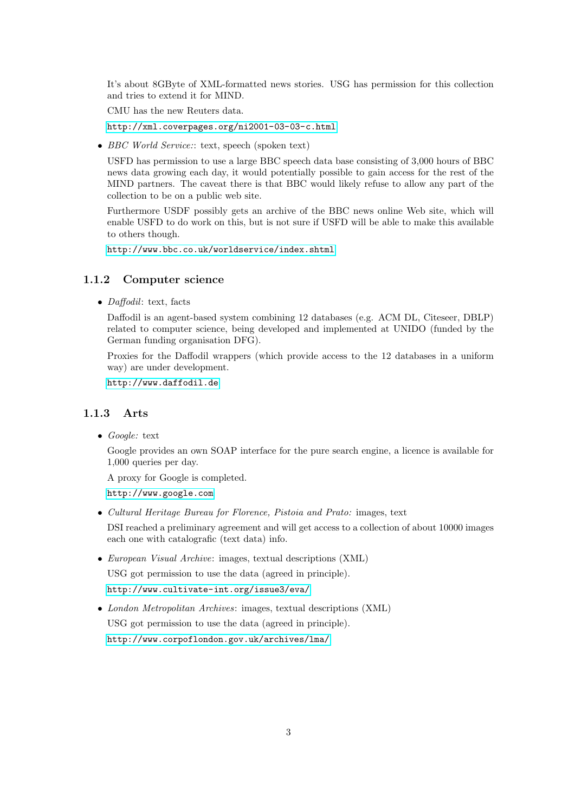It's about 8GByte of XML-formatted news stories. USG has permission for this collection and tries to extend it for MIND.

CMU has the new Reuters data.

<http://xml.coverpages.org/ni2001-03-03-c.html>

• BBC World Service:: text, speech (spoken text)

USFD has permission to use a large BBC speech data base consisting of 3,000 hours of BBC news data growing each day, it would potentially possible to gain access for the rest of the MIND partners. The caveat there is that BBC would likely refuse to allow any part of the collection to be on a public web site.

Furthermore USDF possibly gets an archive of the BBC news online Web site, which will enable USFD to do work on this, but is not sure if USFD will be able to make this available to others though.

<http://www.bbc.co.uk/worldservice/index.shtml>

#### <span id="page-4-0"></span>1.1.2 Computer science

• *Daffodil*: text, facts

Daffodil is an agent-based system combining 12 databases (e.g. ACM DL, Citeseer, DBLP) related to computer science, being developed and implemented at UNIDO (funded by the German funding organisation DFG).

Proxies for the Daffodil wrappers (which provide access to the 12 databases in a uniform way) are under development.

<http://www.daffodil.de>

#### <span id="page-4-1"></span>1.1.3 Arts

• Google: text

Google provides an own SOAP interface for the pure search engine, a licence is available for 1,000 queries per day.

A proxy for Google is completed.

<http://www.google.com>

• Cultural Heritage Bureau for Florence, Pistoia and Prato: images, text

DSI reached a preliminary agreement and will get access to a collection of about 10000 images each one with catalografic (text data) info.

- European Visual Archive: images, textual descriptions (XML) USG got permission to use the data (agreed in principle). <http://www.cultivate-int.org/issue3/eva/>
- London Metropolitan Archives: images, textual descriptions (XML) USG got permission to use the data (agreed in principle). <http://www.corpoflondon.gov.uk/archives/lma/>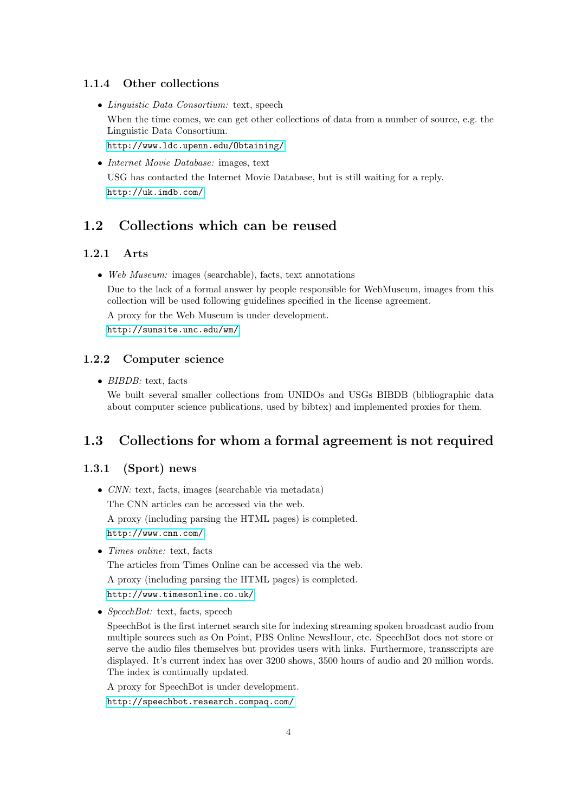#### <span id="page-5-0"></span>1.1.4 Other collections

• Linguistic Data Consortium: text, speech

When the time comes, we can get other collections of data from a number of source, e.g. the Linguistic Data Consortium.

<http://www.ldc.upenn.edu/Obtaining/>

• Internet Movie Database: images, text

USG has contacted the Internet Movie Database, but is still waiting for a reply. <http://uk.imdb.com/>

#### <span id="page-5-1"></span>1.2 Collections which can be reused

#### <span id="page-5-2"></span>1.2.1 Arts

• Web Museum: images (searchable), facts, text annotations

Due to the lack of a formal answer by people responsible for WebMuseum, images from this collection will be used following guidelines specified in the license agreement.

A proxy for the Web Museum is under development.

<http://sunsite.unc.edu/wm/>

#### <span id="page-5-3"></span>1.2.2 Computer science

• *BIBDB*: text, facts

We built several smaller collections from UNIDOs and USGs BIBDB (bibliographic data about computer science publications, used by bibtex) and implemented proxies for them.

#### <span id="page-5-4"></span>1.3 Collections for whom a formal agreement is not required

#### <span id="page-5-5"></span>1.3.1 (Sport) news

- CNN: text, facts, images (searchable via metadata) The CNN articles can be accessed via the web. A proxy (including parsing the HTML pages) is completed. <http://www.cnn.com/>
- *Times online:* text, facts

The articles from Times Online can be accessed via the web. A proxy (including parsing the HTML pages) is completed. <http://www.timesonline.co.uk/>

• SpeechBot: text, facts, speech

SpeechBot is the first internet search site for indexing streaming spoken broadcast audio from multiple sources such as On Point, PBS Online NewsHour, etc. SpeechBot does not store or serve the audio files themselves but provides users with links. Furthermore, transscripts are displayed. It's current index has over 3200 shows, 3500 hours of audio and 20 million words. The index is continually updated.

A proxy for SpeechBot is under development.

<http://speechbot.research.compaq.com/>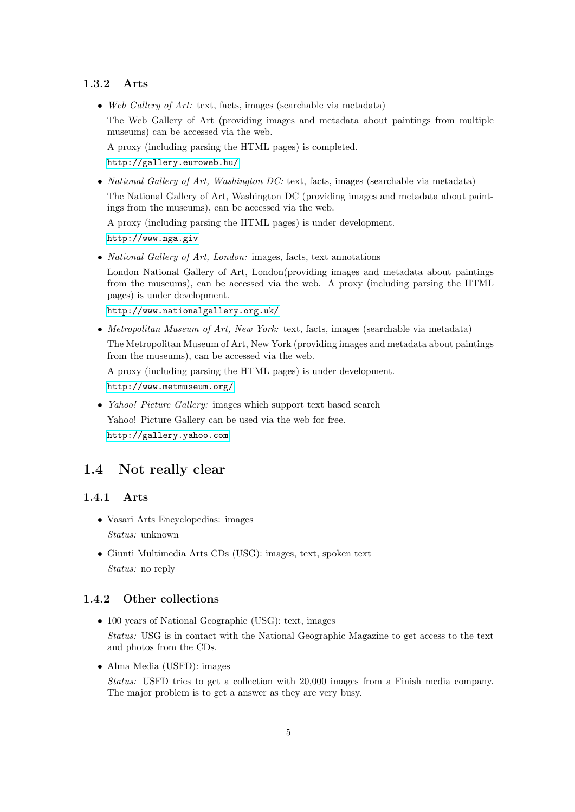#### <span id="page-6-0"></span>1.3.2 Arts

• Web Gallery of Art: text, facts, images (searchable via metadata) The Web Gallery of Art (providing images and metadata about paintings from multiple museums) can be accessed via the web.

A proxy (including parsing the HTML pages) is completed.

<http://gallery.euroweb.hu/>

• National Gallery of Art, Washington DC: text, facts, images (searchable via metadata) The National Gallery of Art, Washington DC (providing images and metadata about paintings from the museums), can be accessed via the web.

A proxy (including parsing the HTML pages) is under development.

<http://www.nga.giv>

• *National Gallery of Art, London:* images, facts, text annotations

London National Gallery of Art, London(providing images and metadata about paintings from the museums), can be accessed via the web. A proxy (including parsing the HTML pages) is under development.

<http://www.nationalgallery.org.uk/>

• Metropolitan Museum of Art, New York: text, facts, images (searchable via metadata) The Metropolitan Museum of Art, New York (providing images and metadata about paintings from the museums), can be accessed via the web.

A proxy (including parsing the HTML pages) is under development.

<http://www.metmuseum.org/>

• *Yahoo! Picture Gallery:* images which support text based search Yahoo! Picture Gallery can be used via the web for free. <http://gallery.yahoo.com>

#### <span id="page-6-1"></span>1.4 Not really clear

#### <span id="page-6-2"></span>1.4.1 Arts

- Vasari Arts Encyclopedias: images Status: unknown
- Giunti Multimedia Arts CDs (USG): images, text, spoken text Status: no reply

#### <span id="page-6-3"></span>1.4.2 Other collections

- 100 years of National Geographic (USG): text, images Status: USG is in contact with the National Geographic Magazine to get access to the text and photos from the CDs.
- Alma Media (USFD): images

Status: USFD tries to get a collection with 20,000 images from a Finish media company. The major problem is to get a answer as they are very busy.